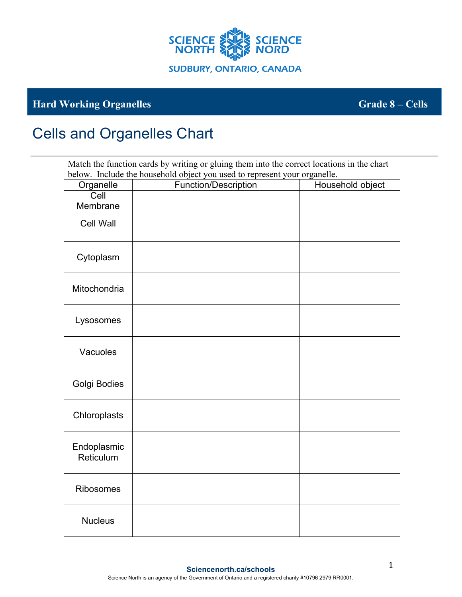

## **Hard Working Organelles Grade 8 – Cells**

## Cells and Organelles Chart

Match the function cards by writing or gluing them into the correct locations in the chart below. Include the household object you used to represent your organelle.

| Organelle                | Function/Description | Household object |
|--------------------------|----------------------|------------------|
| Cell<br>Membrane         |                      |                  |
| <b>Cell Wall</b>         |                      |                  |
| Cytoplasm                |                      |                  |
| Mitochondria             |                      |                  |
| Lysosomes                |                      |                  |
| Vacuoles                 |                      |                  |
| Golgi Bodies             |                      |                  |
| Chloroplasts             |                      |                  |
| Endoplasmic<br>Reticulum |                      |                  |
| Ribosomes                |                      |                  |
| <b>Nucleus</b>           |                      |                  |